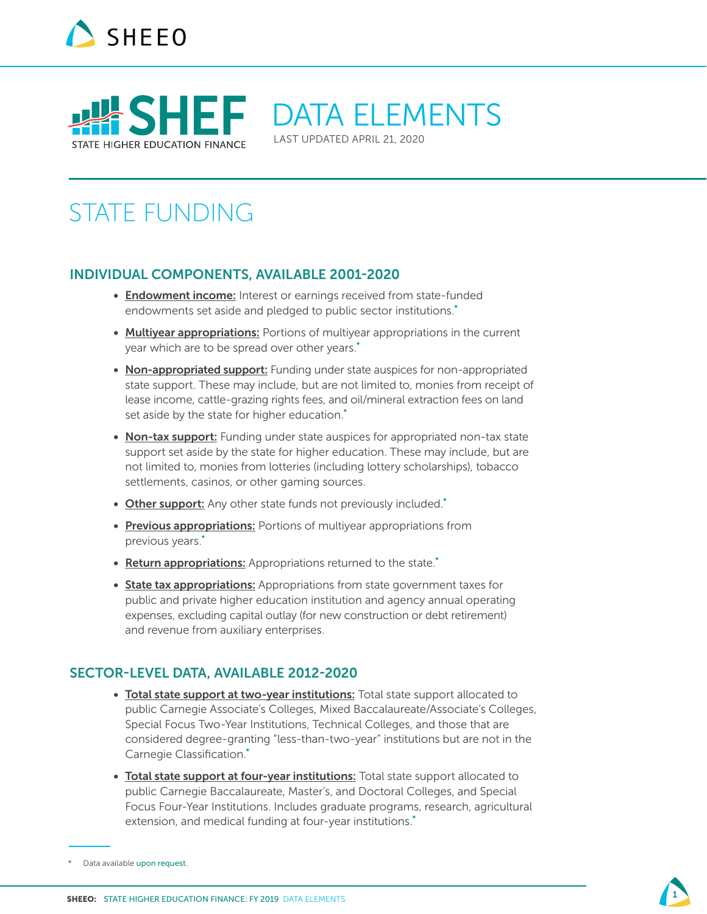



DATA ELEMENTS

LAST UPDATED APRIL 21, 2020

# STATE FUNDING

#### INDIVIDUAL COMPONENTS, AVAILABLE 2001-2020

- Endowment income: Interest or earnings received from state-funded endowments set aside and pledged to public sector institutions.<sup>\*</sup>
- Multiyear appropriations: Portions of multiyear appropriations in the current year which are to be spread over other years.<sup>\*</sup>
- Non-appropriated support: Funding under state auspices for non-appropriated state support. These may include, but are not limited to, monies from receipt of lease income, cattle-grazing rights fees, and oil/mineral extraction fees on land set aside by the state for higher education.<sup>\*</sup>
- Non-tax support: Funding under state auspices for appropriated non-tax state support set aside by the state for higher education. These may include, but are not limited to, monies from lotteries (including lottery scholarships), tobacco settlements, casinos, or other gaming sources.
- Other support: Any other state funds not previously included.\*
- Previous appropriations: Portions of multiyear appropriations from previous years.\*
- Return appropriations: Appropriations returned to the state.<sup>\*</sup>
- State tax appropriations: Appropriations from state government taxes for public and private higher education institution and agency annual operating expenses, excluding capital outlay (for new construction or debt retirement) and revenue from auxiliary enterprises.

### SECTOR-LEVEL DATA, AVAILABLE 2012-2020

- Total state support at two-year institutions: Total state support allocated to public Carnegie Associate's Colleges, Mixed Baccalaureate/Associate's Colleges, Special Focus Two-Year Institutions, Technical Colleges, and those that are considered degree-granting "less-than-two-year" institutions but are not in the Carnegie Classification.\*
- Total state support at four-year institutions: Total state support allocated to public Carnegie Baccalaureate, Master's, and Doctoral Colleges, and Special Focus Four-Year Institutions. Includes graduate programs, research, agricultural extension, and medical funding at four-year institutions.<sup>\*</sup>

Data available [upon request](mailto:sladerman%40sheeo.org?subject=).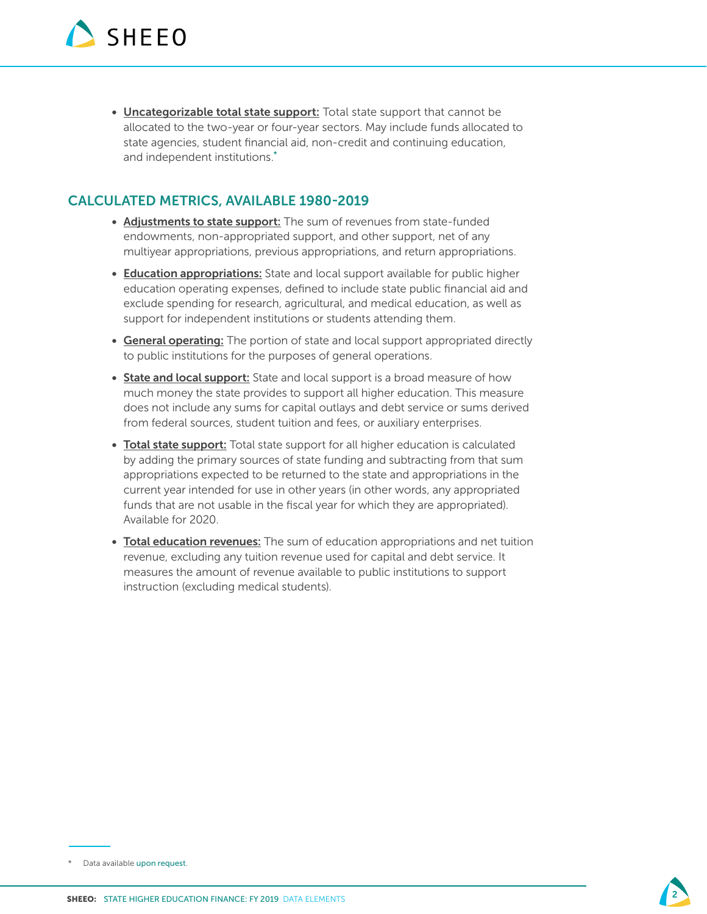• Uncategorizable total state support: Total state support that cannot be allocated to the two-year or four-year sectors. May include funds allocated to state agencies, student financial aid, non-credit and continuing education, and independent institutions.\*

- Adjustments to state support: The sum of revenues from state-funded endowments, non-appropriated support, and other support, net of any multiyear appropriations, previous appropriations, and return appropriations.
- Education appropriations: State and local support available for public higher education operating expenses, defined to include state public financial aid and exclude spending for research, agricultural, and medical education, as well as support for independent institutions or students attending them.
- General operating: The portion of state and local support appropriated directly to public institutions for the purposes of general operations.
- State and local support: State and local support is a broad measure of how much money the state provides to support all higher education. This measure does not include any sums for capital outlays and debt service or sums derived from federal sources, student tuition and fees, or auxiliary enterprises.
- Total state support: Total state support for all higher education is calculated by adding the primary sources of state funding and subtracting from that sum appropriations expected to be returned to the state and appropriations in the current year intended for use in other years (in other words, any appropriated funds that are not usable in the fiscal year for which they are appropriated). Available for 2020.
- Total education revenues: The sum of education appropriations and net tuition revenue, excluding any tuition revenue used for capital and debt service. It measures the amount of revenue available to public institutions to support instruction (excluding medical students).



<sup>\*</sup> Data available [upon request](mailto:sladerman%40sheeo.org?subject=).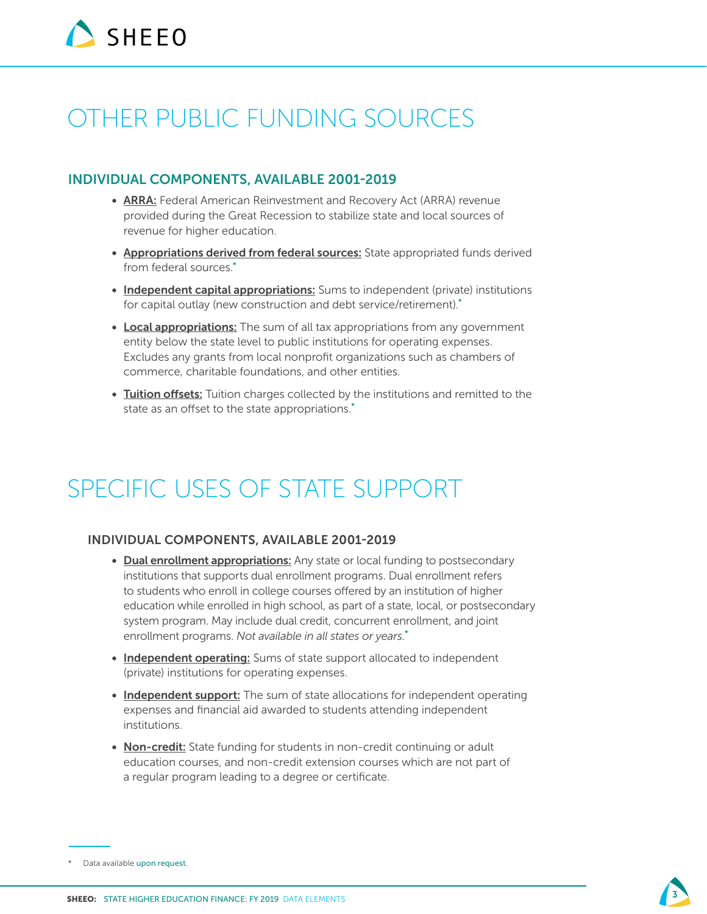# OTHER PUBLIC FUNDING SOURCES

#### INDIVIDUAL COMPONENTS, AVAILABLE 2001-2019

- ARRA: Federal American Reinvestment and Recovery Act (ARRA) revenue provided during the Great Recession to stabilize state and local sources of revenue for higher education.
- Appropriations derived from federal sources: State appropriated funds derived from federal sources.\*
- Independent capital appropriations: Sums to independent (private) institutions for capital outlay (new construction and debt service/retirement).\*
- Local appropriations: The sum of all tax appropriations from any government entity below the state level to public institutions for operating expenses. Excludes any grants from local nonprofit organizations such as chambers of commerce, charitable foundations, and other entities.
- Tuition offsets: Tuition charges collected by the institutions and remitted to the state as an offset to the state appropriations.<sup>\*</sup>

# SPECIFIC USES OF STATE SUPPORT

#### INDIVIDUAL COMPONENTS, AVAILABLE 2001-2019

- Dual enrollment appropriations: Any state or local funding to postsecondary institutions that supports dual enrollment programs. Dual enrollment refers to students who enroll in college courses offered by an institution of higher education while enrolled in high school, as part of a state, local, or postsecondary system program. May include dual credit, concurrent enrollment, and joint enrollment programs. *Not available in all states or years.*\*
- Independent operating: Sums of state support allocated to independent (private) institutions for operating expenses.
- Independent support: The sum of state allocations for independent operating expenses and financial aid awarded to students attending independent institutions.
- Non-credit: State funding for students in non-credit continuing or adult education courses, and non-credit extension courses which are not part of a regular program leading to a degree or certificate.

<sup>\*</sup> Data available [upon request](mailto:sladerman%40sheeo.org?subject=).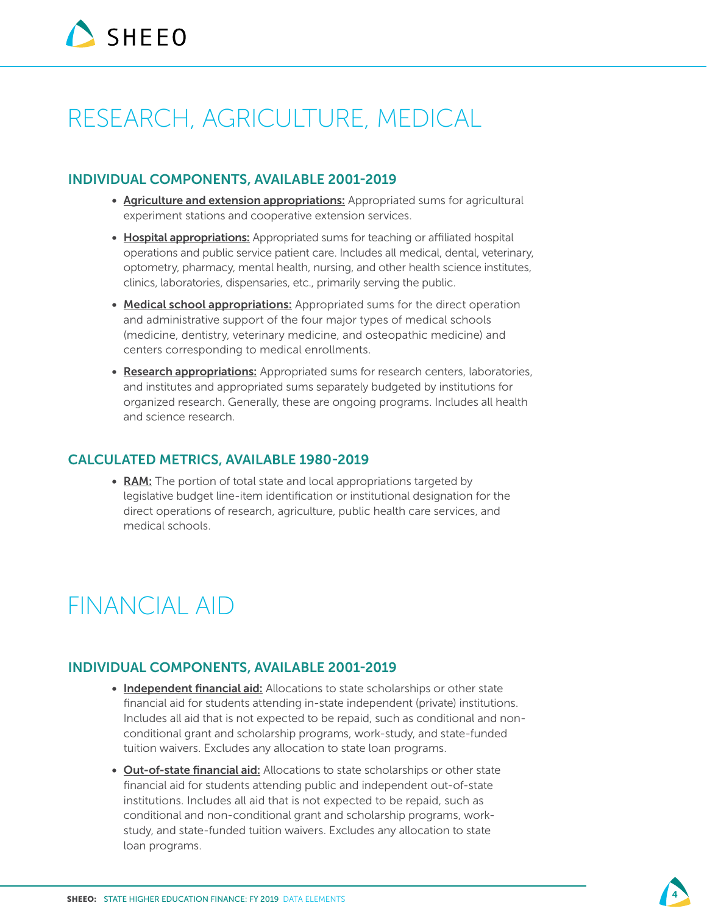# RESEARCH, AGRICULTURE, MEDICAL

#### INDIVIDUAL COMPONENTS, AVAILABLE 2001-2019

- Agriculture and extension appropriations: Appropriated sums for agricultural experiment stations and cooperative extension services.
- Hospital appropriations: Appropriated sums for teaching or affiliated hospital operations and public service patient care. Includes all medical, dental, veterinary, optometry, pharmacy, mental health, nursing, and other health science institutes, clinics, laboratories, dispensaries, etc., primarily serving the public.
- Medical school appropriations: Appropriated sums for the direct operation and administrative support of the four major types of medical schools (medicine, dentistry, veterinary medicine, and osteopathic medicine) and centers corresponding to medical enrollments.
- Research appropriations: Appropriated sums for research centers, laboratories, and institutes and appropriated sums separately budgeted by institutions for organized research. Generally, these are ongoing programs. Includes all health and science research.

#### CALCULATED METRICS, AVAILABLE 1980-2019

• RAM: The portion of total state and local appropriations targeted by legislative budget line-item identification or institutional designation for the direct operations of research, agriculture, public health care services, and medical schools.

# FINANCIAL AID

### INDIVIDUAL COMPONENTS, AVAILABLE 2001-2019

- Independent financial aid: Allocations to state scholarships or other state financial aid for students attending in-state independent (private) institutions. Includes all aid that is not expected to be repaid, such as conditional and nonconditional grant and scholarship programs, work-study, and state-funded tuition waivers. Excludes any allocation to state loan programs.
- Out-of-state financial aid: Allocations to state scholarships or other state financial aid for students attending public and independent out-of-state institutions. Includes all aid that is not expected to be repaid, such as conditional and non-conditional grant and scholarship programs, workstudy, and state-funded tuition waivers. Excludes any allocation to state loan programs.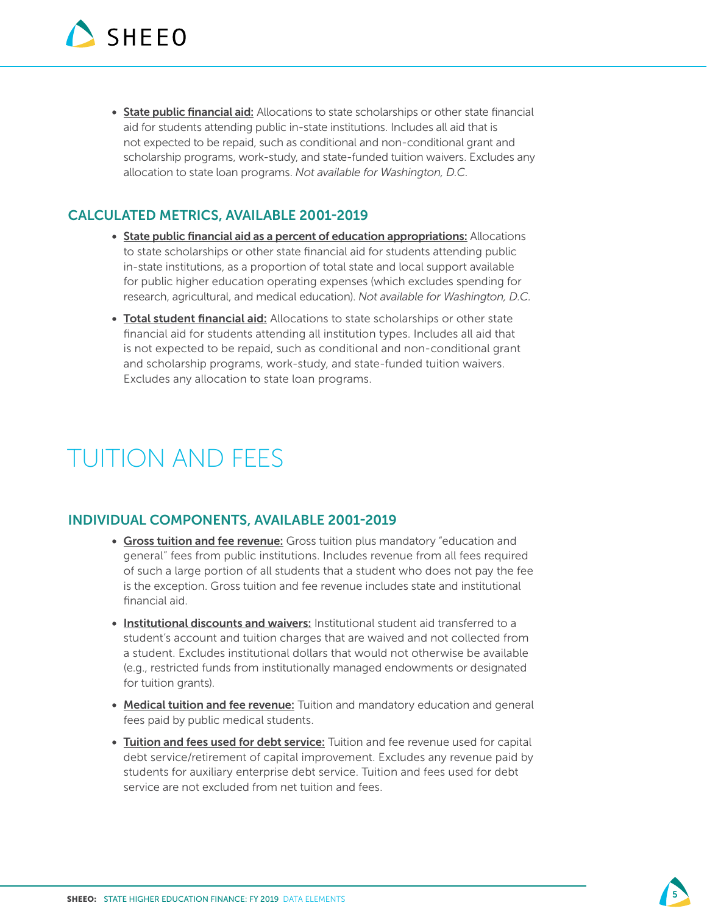• State public financial aid: Allocations to state scholarships or other state financial aid for students attending public in-state institutions. Includes all aid that is not expected to be repaid, such as conditional and non-conditional grant and scholarship programs, work-study, and state-funded tuition waivers. Excludes any allocation to state loan programs. *Not available for Washington, D.C.*

### CALCULATED METRICS, AVAILABLE 2001-2019

- State public financial aid as a percent of education appropriations: Allocations to state scholarships or other state financial aid for students attending public in-state institutions, as a proportion of total state and local support available for public higher education operating expenses (which excludes spending for research, agricultural, and medical education). *Not available for Washington, D.C.*
- Total student financial aid: Allocations to state scholarships or other state financial aid for students attending all institution types. Includes all aid that is not expected to be repaid, such as conditional and non-conditional grant and scholarship programs, work-study, and state-funded tuition waivers. Excludes any allocation to state loan programs.

# TUITION AND FEES

### INDIVIDUAL COMPONENTS, AVAILABLE 2001-2019

- Gross tuition and fee revenue: Gross tuition plus mandatory "education and general" fees from public institutions. Includes revenue from all fees required of such a large portion of all students that a student who does not pay the fee is the exception. Gross tuition and fee revenue includes state and institutional financial aid.
- Institutional discounts and waivers: Institutional student aid transferred to a student's account and tuition charges that are waived and not collected from a student. Excludes institutional dollars that would not otherwise be available (e.g., restricted funds from institutionally managed endowments or designated for tuition grants).
- Medical tuition and fee revenue: Tuition and mandatory education and general fees paid by public medical students.
- Tuition and fees used for debt service: Tuition and fee revenue used for capital debt service/retirement of capital improvement. Excludes any revenue paid by students for auxiliary enterprise debt service. Tuition and fees used for debt service are not excluded from net tuition and fees.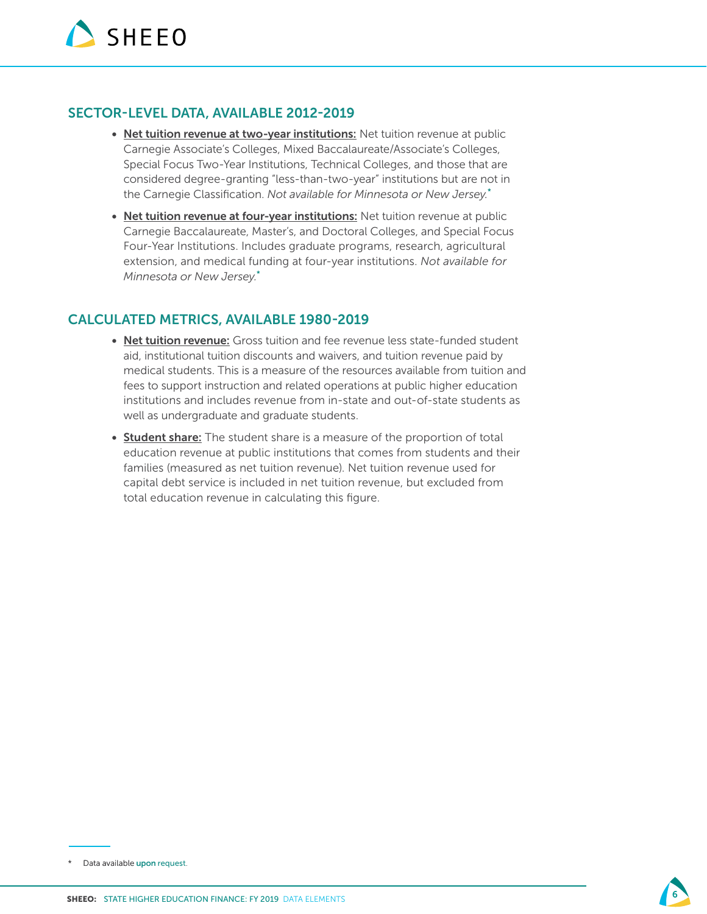#### SECTOR-LEVEL DATA, AVAILABLE 2012-2019

- Net tuition revenue at two-year institutions: Net tuition revenue at public Carnegie Associate's Colleges, Mixed Baccalaureate/Associate's Colleges, Special Focus Two-Year Institutions, Technical Colleges, and those that are considered degree-granting "less-than-two-year" institutions but are not in the Carnegie Classification. *Not available for Minnesota or New Jersey.*\*
- Net tuition revenue at four-year institutions: Net tuition revenue at public Carnegie Baccalaureate, Master's, and Doctoral Colleges, and Special Focus Four-Year Institutions. Includes graduate programs, research, agricultural extension, and medical funding at four-year institutions. *Not available for Minnesota or New Jersey.*\*

- Net tuition revenue: Gross tuition and fee revenue less state-funded student aid, institutional tuition discounts and waivers, and tuition revenue paid by medical students. This is a measure of the resources available from tuition and fees to support instruction and related operations at public higher education institutions and includes revenue from in-state and out-of-state students as well as undergraduate and graduate students.
- **Student share:** The student share is a measure of the proportion of total education revenue at public institutions that comes from students and their families (measured as net tuition revenue). Net tuition revenue used for capital debt service is included in net tuition revenue, but excluded from total education revenue in calculating this figure.



<sup>\*</sup> Data available [upon request](mailto:sladerman%40sheeo.org?subject=).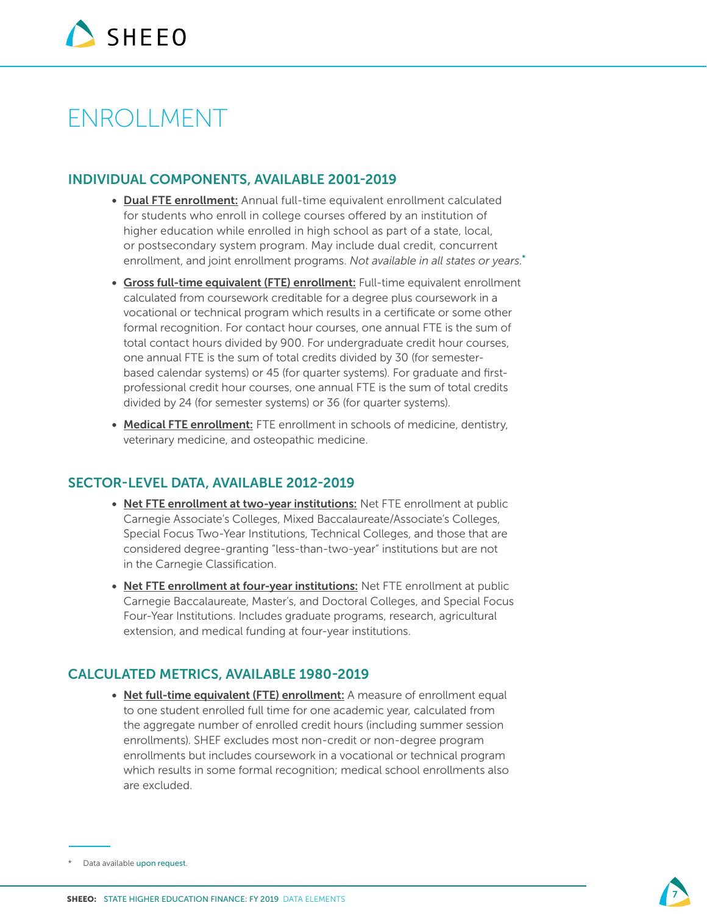# ENROLLMENT

### INDIVIDUAL COMPONENTS, AVAILABLE 2001-2019

- Dual FTE enrollment: Annual full-time equivalent enrollment calculated for students who enroll in college courses offered by an institution of higher education while enrolled in high school as part of a state, local, or postsecondary system program. May include dual credit, concurrent enrollment, and joint enrollment programs. *Not available in all states or years.*\*
- Gross full-time equivalent (FTE) enrollment: Full-time equivalent enrollment calculated from coursework creditable for a degree plus coursework in a vocational or technical program which results in a certificate or some other formal recognition. For contact hour courses, one annual FTE is the sum of total contact hours divided by 900. For undergraduate credit hour courses, one annual FTE is the sum of total credits divided by 30 (for semesterbased calendar systems) or 45 (for quarter systems). For graduate and firstprofessional credit hour courses, one annual FTE is the sum of total credits divided by 24 (for semester systems) or 36 (for quarter systems).
- Medical FTE enrollment: FTE enrollment in schools of medicine, dentistry, veterinary medicine, and osteopathic medicine.

#### SECTOR-LEVEL DATA, AVAILABLE 2012-2019

- Net FTE enrollment at two-year institutions: Net FTE enrollment at public Carnegie Associate's Colleges, Mixed Baccalaureate/Associate's Colleges, Special Focus Two-Year Institutions, Technical Colleges, and those that are considered degree-granting "less-than-two-year" institutions but are not in the Carnegie Classification.
- Net FTE enrollment at four-year institutions: Net FTE enrollment at public Carnegie Baccalaureate, Master's, and Doctoral Colleges, and Special Focus Four-Year Institutions. Includes graduate programs, research, agricultural extension, and medical funding at four-year institutions.

### CALCULATED METRICS, AVAILABLE 1980-2019

• Net full-time equivalent (FTE) enrollment: A measure of enrollment equal to one student enrolled full time for one academic year, calculated from the aggregate number of enrolled credit hours (including summer session enrollments). SHEF excludes most non-credit or non-degree program enrollments but includes coursework in a vocational or technical program which results in some formal recognition; medical school enrollments also are excluded.



<sup>\*</sup> Data available [upon request](mailto:sladerman%40sheeo.org?subject=).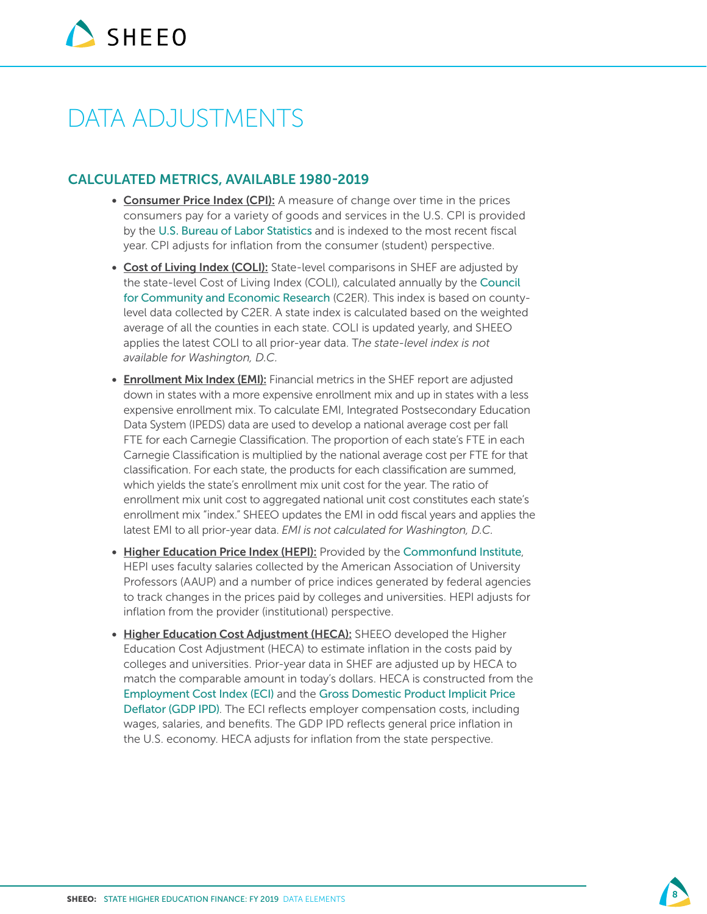# DATA ADJUSTMENTS

- Consumer Price Index (CPI): A measure of change over time in the prices consumers pay for a variety of goods and services in the U.S. CPI is provided by the [U.S. Bureau of Labor Statistics](https://www.bls.gov/bls/inflation.htm) and is indexed to the most recent fiscal year. CPI adjusts for inflation from the consumer (student) perspective.
- Cost of Living Index (COLI): State-level comparisons in SHEF are adjusted by the state-level Cost of Living Index (COLI), calculated annually by the [Council](http://coli.org/)  [for Community and Economic Research](http://coli.org/) (C2ER). This index is based on countylevel data collected by C2ER. A state index is calculated based on the weighted average of all the counties in each state. COLI is updated yearly, and SHEEO applies the latest COLI to all prior-year data. T*he state-level index is not available for Washington, D.C.*
- Enrollment Mix Index (EMI): Financial metrics in the SHEF report are adjusted down in states with a more expensive enrollment mix and up in states with a less expensive enrollment mix. To calculate EMI, Integrated Postsecondary Education Data System (IPEDS) data are used to develop a national average cost per fall FTE for each Carnegie Classification. The proportion of each state's FTE in each Carnegie Classification is multiplied by the national average cost per FTE for that classification. For each state, the products for each classification are summed, which yields the state's enrollment mix unit cost for the year. The ratio of enrollment mix unit cost to aggregated national unit cost constitutes each state's enrollment mix "index." SHEEO updates the EMI in odd fiscal years and applies the latest EMI to all prior-year data. *EMI is not calculated for Washington, D.C.*
- Higher Education Price Index (HEPI): Provided by the [Commonfund Institute](https://www.commonfund.org/commonfund-institute/higher-education-price-index-hepi/), HEPI uses faculty salaries collected by the American Association of University Professors (AAUP) and a number of price indices generated by federal agencies to track changes in the prices paid by colleges and universities. HEPI adjusts for inflation from the provider (institutional) perspective.
- Higher Education Cost Adjustment (HECA): SHEEO developed the Higher Education Cost Adjustment (HECA) to estimate inflation in the costs paid by colleges and universities. Prior-year data in SHEF are adjusted up by HECA to match the comparable amount in today's dollars. HECA is constructed from the [Employment Cost Index \(ECI\)](https://www.bls.gov/news.release/eci.toc.htm) and the [Gross Domestic Product Implicit Price](https://www.bea.gov/data/prices-inflation/gdp-price-deflator)  [Deflator \(GDP IPD\)](https://www.bea.gov/data/prices-inflation/gdp-price-deflator). The ECI reflects employer compensation costs, including wages, salaries, and benefits. The GDP IPD reflects general price inflation in the U.S. economy. HECA adjusts for inflation from the state perspective.